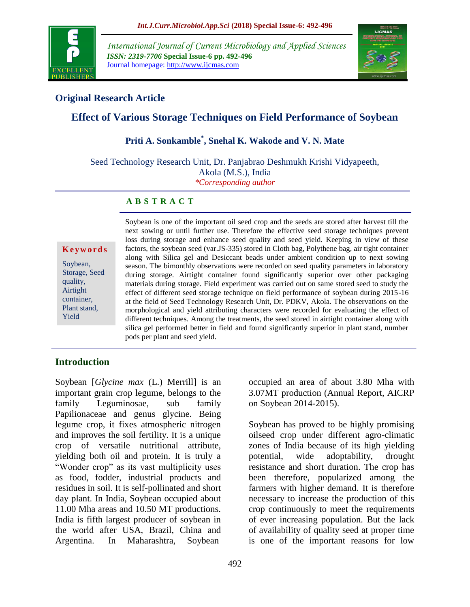

*International Journal of Current Microbiology and Applied Sciences ISSN: 2319-7706* **Special Issue-6 pp. 492-496** Journal homepage: http://www.ijcmas.com



### **Original Research Article**

# **Effect of Various Storage Techniques on Field Performance of Soybean**

## **Priti A. Sonkamble\* , Snehal K. Wakode and V. N. Mate**

Seed Technology Research Unit, Dr. Panjabrao Deshmukh Krishi Vidyapeeth, Akola (M.S.), India *\*Corresponding author*

#### **A B S T R A C T**

**K e y w o r d s**

Soybean, Storage, Seed quality, Airtight container, Plant stand, Yield

Soybean is one of the important oil seed crop and the seeds are stored after harvest till the next sowing or until further use. Therefore the effective seed storage techniques prevent loss during storage and enhance seed quality and seed yield. Keeping in view of these factors, the soybean seed (var.JS-335) stored in Cloth bag, Polythene bag, air tight container along with Silica gel and Desiccant beads under ambient condition up to next sowing season. The bimonthly observations were recorded on seed quality parameters in laboratory during storage. Airtight container found significantly superior over other packaging materials during storage. Field experiment was carried out on same stored seed to study the effect of different seed storage technique on field performance of soybean during 2015-16 at the field of Seed Technology Research Unit, Dr. PDKV, Akola. The observations on the morphological and yield attributing characters were recorded for evaluating the effect of different techniques. Among the treatments, the seed stored in airtight container along with silica gel performed better in field and found significantly superior in plant stand, number pods per plant and seed yield.

### **Introduction**

Soybean [*Glycine max* (L.) Merrill] is an important grain crop legume, belongs to the family Leguminosae, sub family Papilionaceae and genus glycine. Being legume crop, it fixes atmospheric nitrogen and improves the soil fertility. It is a unique crop of versatile nutritional attribute, yielding both oil and protein. It is truly a "Wonder crop" as its vast multiplicity uses as food, fodder, industrial products and residues in soil. It is self-pollinated and short day plant. In India, Soybean occupied about 11.00 Mha areas and 10.50 MT productions. India is fifth largest producer of soybean in the world after USA, Brazil, China and Argentina. In Maharashtra, Soybean

occupied an area of about 3.80 Mha with 3.07MT production (Annual Report, AICRP on Soybean 2014-2015).

Soybean has proved to be highly promising oilseed crop under different agro-climatic zones of India because of its high yielding potential, wide adoptability, drought resistance and short duration. The crop has been therefore, popularized among the farmers with higher demand. It is therefore necessary to increase the production of this crop continuously to meet the requirements of ever increasing population. But the lack of availability of quality seed at proper time is one of the important reasons for low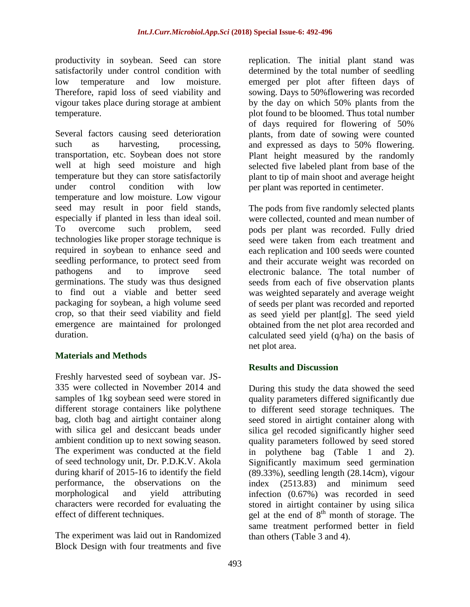productivity in soybean. Seed can store satisfactorily under control condition with low temperature and low moisture. Therefore, rapid loss of seed viability and vigour takes place during storage at ambient temperature.

Several factors causing seed deterioration such as harvesting, processing, transportation, etc. Soybean does not store well at high seed moisture and high temperature but they can store satisfactorily under control condition with low temperature and low moisture. Low vigour seed may result in poor field stands, especially if planted in less than ideal soil. To overcome such problem, seed technologies like proper storage technique is required in soybean to enhance seed and seedling performance, to protect seed from pathogens and to improve seed germinations. The study was thus designed to find out a viable and better seed packaging for soybean, a high volume seed crop, so that their seed viability and field emergence are maintained for prolonged duration.

### **Materials and Methods**

Freshly harvested seed of soybean var. JS-335 were collected in November 2014 and samples of 1kg soybean seed were stored in different storage containers like polythene bag, cloth bag and airtight container along with silica gel and desiccant beads under ambient condition up to next sowing season. The experiment was conducted at the field of seed technology unit, Dr. P.D.K.V. Akola during kharif of 2015-16 to identify the field performance, the observations on the morphological and yield attributing characters were recorded for evaluating the effect of different techniques.

The experiment was laid out in Randomized Block Design with four treatments and five

replication. The initial plant stand was determined by the total number of seedling emerged per plot after fifteen days of sowing. Days to 50%flowering was recorded by the day on which 50% plants from the plot found to be bloomed. Thus total number of days required for flowering of 50% plants, from date of sowing were counted and expressed as days to 50% flowering. Plant height measured by the randomly selected five labeled plant from base of the plant to tip of main shoot and average height per plant was reported in centimeter.

The pods from five randomly selected plants were collected, counted and mean number of pods per plant was recorded. Fully dried seed were taken from each treatment and each replication and 100 seeds were counted and their accurate weight was recorded on electronic balance. The total number of seeds from each of five observation plants was weighted separately and average weight of seeds per plant was recorded and reported as seed yield per plant[g]. The seed yield obtained from the net plot area recorded and calculated seed yield (q/ha) on the basis of net plot area.

### **Results and Discussion**

During this study the data showed the seed quality parameters differed significantly due to different seed storage techniques. The seed stored in airtight container along with silica gel recoded significantly higher seed quality parameters followed by seed stored in polythene bag (Table 1 and 2). Significantly maximum seed germination (89.33%), seedling length (28.14cm), vigour index (2513.83) and minimum seed infection (0.67%) was recorded in seed stored in airtight container by using silica gel at the end of  $8<sup>th</sup>$  month of storage. The same treatment performed better in field than others (Table 3 and 4).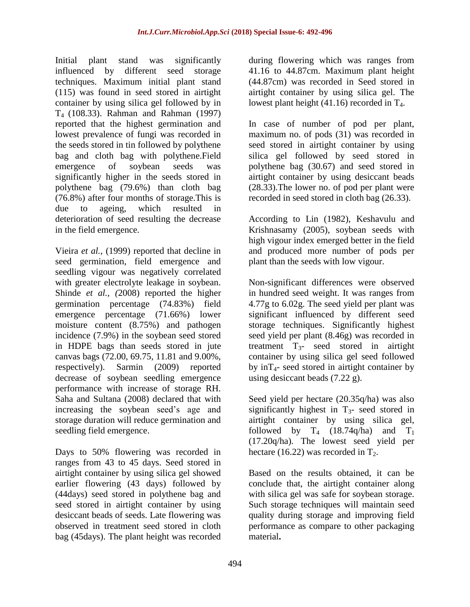Initial plant stand was significantly influenced by different seed storage techniques. Maximum initial plant stand (115) was found in seed stored in airtight container by using silica gel followed by in T4 (108.33). Rahman and Rahman (1997) reported that the highest germination and lowest prevalence of fungi was recorded in the seeds stored in tin followed by polythene bag and cloth bag with polythene.Field emergence of soybean seeds was significantly higher in the seeds stored in polythene bag (79.6%) than cloth bag (76.8%) after four months of storage.This is due to ageing, which resulted in deterioration of seed resulting the decrease in the field emergence.

Vieira *et al.,* (1999) reported that decline in seed germination, field emergence and seedling vigour was negatively correlated with greater electrolyte leakage in soybean. Shinde *et al., (*2008) reported the higher germination percentage (74.83%) field emergence percentage (71.66%) lower moisture content (8.75%) and pathogen incidence (7.9%) in the soybean seed stored in HDPE bags than seeds stored in jute canvas bags (72.00, 69.75, 11.81 and 9.00%, respectively). Sarmin (2009) reported decrease of soybean seedling emergence performance with increase of storage RH. Saha and Sultana (2008) declared that with increasing the soybean seed's age and storage duration will reduce germination and seedling field emergence.

Days to 50% flowering was recorded in ranges from 43 to 45 days. Seed stored in airtight container by using silica gel showed earlier flowering (43 days) followed by (44days) seed stored in polythene bag and seed stored in airtight container by using desiccant beads of seeds. Late flowering was observed in treatment seed stored in cloth bag (45days). The plant height was recorded

during flowering which was ranges from 41.16 to 44.87cm. Maximum plant height (44.87cm) was recorded in Seed stored in airtight container by using silica gel. The lowest plant height  $(41.16)$  recorded in T<sub>4</sub>.

In case of number of pod per plant, maximum no. of pods (31) was recorded in seed stored in airtight container by using silica gel followed by seed stored in polythene bag (30.67) and seed stored in airtight container by using desiccant beads (28.33).The lower no. of pod per plant were recorded in seed stored in cloth bag (26.33).

According to Lin (1982), Keshavulu and Krishnasamy (2005), soybean seeds with high vigour index emerged better in the field and produced more number of pods per plant than the seeds with low vigour.

Non-significant differences were observed in hundred seed weight. It was ranges from 4.77g to 6.02g. The seed yield per plant was significant influenced by different seed storage techniques. Significantly highest seed yield per plant (8.46g) was recorded in treatment  $T_{3}$ - seed stored in airtight container by using silica gel seed followed by  $inT<sub>4</sub>$ - seed stored in airtight container by using desiccant beads (7.22 g).

Seed yield per hectare (20.35q/ha) was also significantly highest in  $T_{3}$ - seed stored in airtight container by using silica gel, followed by  $T_4$  (18.74q/ha) and  $T_1$ (17.20q/ha). The lowest seed yield per hectare (16.22) was recorded in  $T_2$ .

Based on the results obtained, it can be conclude that, the airtight container along with silica gel was safe for soybean storage. Such storage techniques will maintain seed quality during storage and improving field performance as compare to other packaging material**.**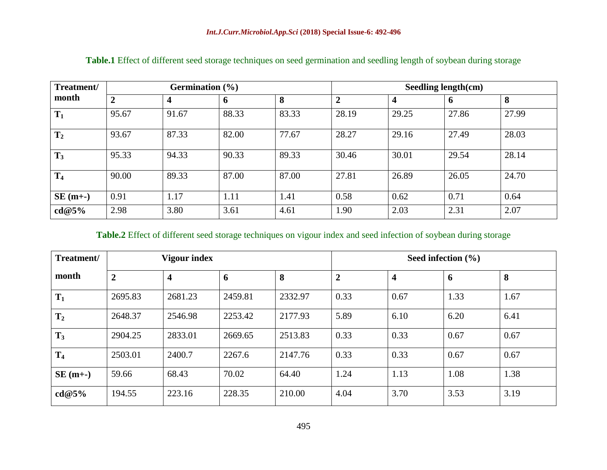| Treatment/<br>month | Germination $(\% )$ |       |                     |       |                | Seedling length(cm) |              |       |  |
|---------------------|---------------------|-------|---------------------|-------|----------------|---------------------|--------------|-------|--|
|                     | $\overline{2}$      |       | $\ddot{\mathbf{6}}$ | 8     | $\overline{2}$ | $\overline{4}$      | $\mathbf{p}$ | 8     |  |
| $T_1$               | 95.67               | 91.67 | 88.33               | 83.33 | 28.19          | 29.25               | 27.86        | 27.99 |  |
| T <sub>2</sub>      | 93.67               | 87.33 | 82.00               | 77.67 | 28.27          | 29.16               | 27.49        | 28.03 |  |
| $T_3$               | 95.33               | 94.33 | 90.33               | 89.33 | 30.46          | 30.01               | 29.54        | 28.14 |  |
| T <sub>4</sub>      | 90.00               | 89.33 | 87.00               | 87.00 | 27.81          | 26.89               | 26.05        | 24.70 |  |
| $SE(m+$             | 0.91                | 1.17  | 1.11                | 1.41  | 0.58           | 0.62                | 0.71         | 0.64  |  |
| cd@5%               | 2.98                | 3.80  | 3.61                | 4.61  | l.90           | 2.03                | 2.31         | 2.07  |  |

**Table.1** Effect of different seed storage techniques on seed germination and seedling length of soybean during storage

## **Table.2** Effect of different seed storage techniques on vigour index and seed infection of soybean during storage

| Treatment/     | <b>Vigour index</b> |         |         |         |                | Seed infection $(\% )$  |      |      |  |
|----------------|---------------------|---------|---------|---------|----------------|-------------------------|------|------|--|
| month          | $\overline{2}$      | 4       | 6       | 8       | $\overline{2}$ | $\overline{\mathbf{4}}$ | 6    | 8    |  |
| $T_1$          | 2695.83             | 2681.23 | 2459.81 | 2332.97 | 0.33           | 0.67                    | 1.33 | 1.67 |  |
| $T_2$          | 2648.37             | 2546.98 | 2253.42 | 2177.93 | 5.89           | 6.10                    | 6.20 | 6.41 |  |
| $T_3$          | 2904.25             | 2833.01 | 2669.65 | 2513.83 | 0.33           | 0.33                    | 0.67 | 0.67 |  |
| T <sub>4</sub> | 2503.01             | 2400.7  | 2267.6  | 2147.76 | 0.33           | 0.33                    | 0.67 | 0.67 |  |
| $SE(m+$        | 59.66               | 68.43   | 70.02   | 64.40   | 1.24           | 1.13                    | 1.08 | 1.38 |  |
| cd@5%          | 194.55              | 223.16  | 228.35  | 210.00  | 4.04           | 3.70                    | 3.53 | 3.19 |  |